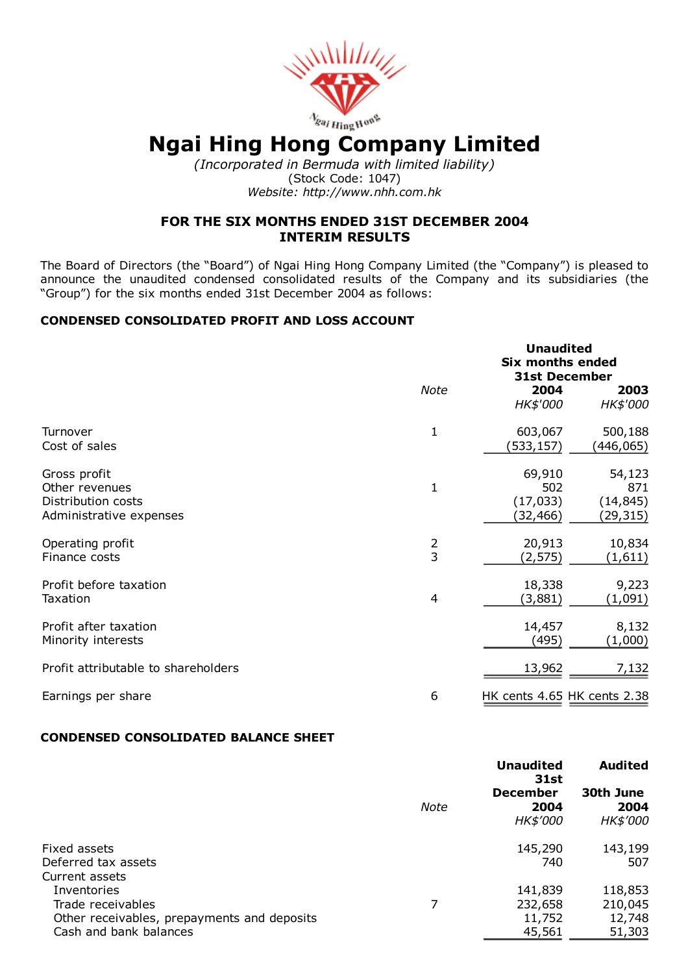

# $N$ gai Hing Hong Company Limited

(Incorporated in Bermuda with limited liability) (Stock Code: 1047) Website: http://www.nhh.com.hk

# FOR THE SIX MONTHS ENDED 31ST DECEMBER 2004 INTERIM RESULTS

The Board of Directors (the "Board") of Ngai Hing Hong Company Limited (the "Company") is pleased to announce the unaudited condensed consolidated results of the Company and its subsidiaries (the "Group") for the six months ended 31st December 2004 as follows:

# CONDENSED CONSOLIDATED PROFIT AND LOSS ACCOUNT

|                                     |               | <b>Unaudited</b><br><b>Six months ended</b><br><b>31st December</b> |                             |
|-------------------------------------|---------------|---------------------------------------------------------------------|-----------------------------|
|                                     | <b>Note</b>   | 2004<br>HK\$'000                                                    | 2003<br>HK\$'000            |
| Turnover                            | 1             | 603,067                                                             | 500,188                     |
| Cost of sales                       |               | (533, 157)                                                          | (446,065)                   |
| Gross profit                        | $\mathbf{1}$  | 69,910                                                              | 54,123                      |
| Other revenues                      |               | 502                                                                 | 871                         |
| Distribution costs                  |               | (17, 033)                                                           | (14, 845)                   |
| Administrative expenses             |               | (32,466)                                                            | (29,315)                    |
| Operating profit                    | $\frac{2}{3}$ | 20,913                                                              | 10,834                      |
| Finance costs                       |               | (2, 575)                                                            | (1,611)                     |
| Profit before taxation              | 4             | 18,338                                                              | 9,223                       |
| Taxation                            |               | (3,881)                                                             | (1,091)                     |
| Profit after taxation               |               | 14,457                                                              | 8,132                       |
| Minority interests                  |               | (495)                                                               | (1,000)                     |
| Profit attributable to shareholders |               | 13,962                                                              | 7,132                       |
| Earnings per share                  | 6             |                                                                     | HK cents 4.65 HK cents 2.38 |

# CONDENSED CONSOLIDATED BALANCE SHEET

|                                             |      | <b>Unaudited</b><br>31st | <b>Audited</b>    |
|---------------------------------------------|------|--------------------------|-------------------|
|                                             | Note | <b>December</b><br>2004  | 30th June<br>2004 |
|                                             |      | HK\$'000                 | <b>HK\$'000</b>   |
| Fixed assets                                |      | 145,290                  | 143,199           |
| Deferred tax assets<br>Current assets       |      | 740                      | 507               |
| Inventories                                 |      | 141,839                  | 118,853           |
| Trade receivables                           | 7    | 232,658                  | 210,045           |
| Other receivables, prepayments and deposits |      | 11,752                   | 12,748            |
| Cash and bank balances                      |      | 45,561                   | 51,303            |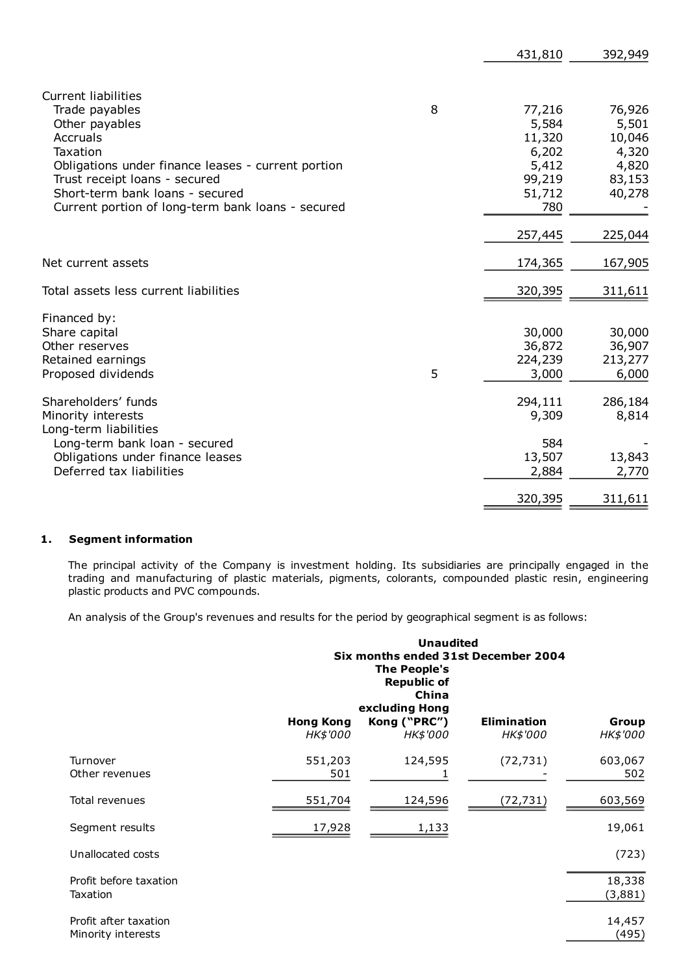|                                                    |   | 431,810 | 392,949 |
|----------------------------------------------------|---|---------|---------|
|                                                    |   |         |         |
| <b>Current liabilities</b>                         |   |         |         |
| Trade payables                                     | 8 | 77,216  | 76,926  |
| Other payables                                     |   | 5,584   | 5,501   |
| Accruals                                           |   | 11,320  | 10,046  |
| Taxation                                           |   | 6,202   | 4,320   |
| Obligations under finance leases - current portion |   | 5,412   | 4,820   |
| Trust receipt loans - secured                      |   | 99,219  | 83,153  |
| Short-term bank loans - secured                    |   | 51,712  | 40,278  |
| Current portion of long-term bank loans - secured  |   | 780     |         |
|                                                    |   | 257,445 | 225,044 |
| Net current assets                                 |   | 174,365 | 167,905 |
| Total assets less current liabilities              |   | 320,395 | 311,611 |
|                                                    |   |         |         |
| Financed by:                                       |   |         |         |
| Share capital                                      |   | 30,000  | 30,000  |
| Other reserves                                     |   | 36,872  | 36,907  |
| Retained earnings                                  |   | 224,239 | 213,277 |
| Proposed dividends                                 | 5 | 3,000   | 6,000   |
| Shareholders' funds                                |   | 294,111 | 286,184 |
| Minority interests                                 |   | 9,309   | 8,814   |
| Long-term liabilities                              |   |         |         |
| Long-term bank loan - secured                      |   | 584     |         |
| Obligations under finance leases                   |   | 13,507  | 13,843  |
| Deferred tax liabilities                           |   | 2,884   | 2,770   |
|                                                    |   | 320,395 |         |
|                                                    |   |         | 311,611 |

#### 1. Segment information

The principal activity of the Company is investment holding. Its subsidiaries are principally engaged in the trading and manufacturing of plastic materials, pigments, colorants, compounded plastic resin, engineering plastic products and PVC compounds.

An analysis of the Group's revenues and results for the period by geographical segment is as follows:

|                                             |                  | <b>Unaudited</b><br>Six months ended 31st December 2004<br><b>The People's</b><br><b>Republic of</b><br>China<br>excluding Hong |             |                   |
|---------------------------------------------|------------------|---------------------------------------------------------------------------------------------------------------------------------|-------------|-------------------|
|                                             | <b>Hong Kong</b> | Kong ("PRC")                                                                                                                    | Elimination | Group             |
|                                             | HK\$'000         | HK\$'000                                                                                                                        | HK\$'000    | HK\$'000          |
| Turnover<br>Other revenues                  | 551,203<br>501   | 124,595                                                                                                                         | (72, 731)   | 603,067<br>502    |
| Total revenues                              | 551,704          | 124,596                                                                                                                         | (72,731)    | 603,569           |
| Segment results                             | 17,928           | 1,133                                                                                                                           |             | 19,061            |
| Unallocated costs                           |                  |                                                                                                                                 |             | (723)             |
| Profit before taxation<br><b>Taxation</b>   |                  |                                                                                                                                 |             | 18,338<br>(3,881) |
| Profit after taxation<br>Minority interests |                  |                                                                                                                                 |             | 14,457<br>(495)   |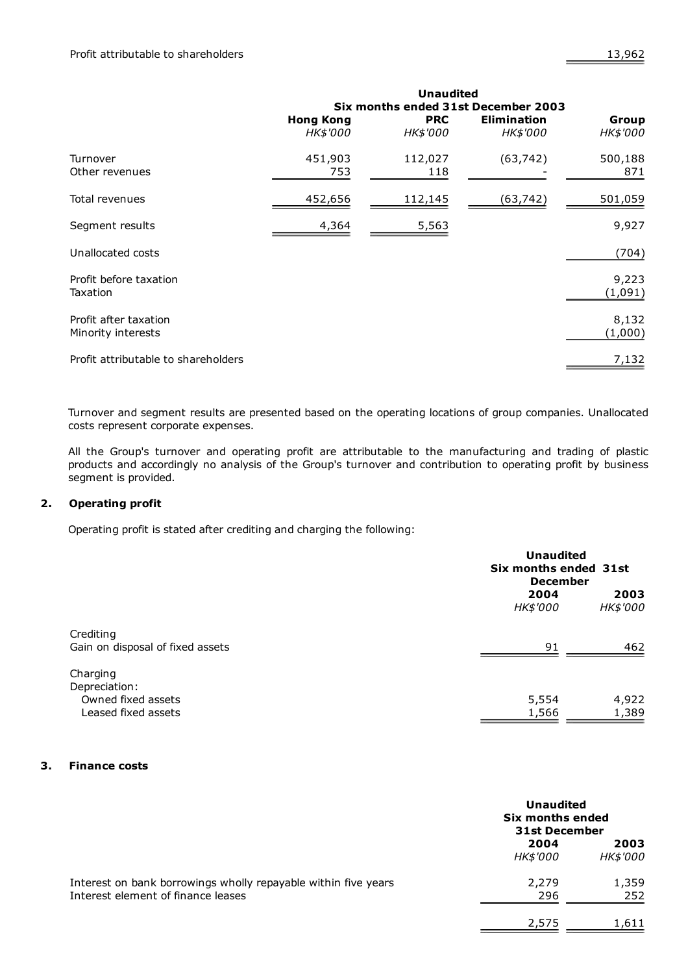|                                             | <b>Unaudited</b><br>Six months ended 31st December 2003 |                               |                                       |                          |
|---------------------------------------------|---------------------------------------------------------|-------------------------------|---------------------------------------|--------------------------|
|                                             | <b>Hong Kong</b><br><b>HK\$'000</b>                     | <b>PRC</b><br><b>HK\$'000</b> | <b>Elimination</b><br><b>HK\$'000</b> | Group<br><b>HK\$'000</b> |
| Turnover<br>Other revenues                  | 451,903<br>753                                          | 112,027<br>118                | (63, 742)                             | 500,188<br>871           |
| Total revenues                              | 452,656                                                 | 112,145                       | (63,742)                              | 501,059                  |
| Segment results                             | 4,364                                                   | 5,563                         |                                       | 9,927                    |
| Unallocated costs                           |                                                         |                               |                                       | (704)                    |
| Profit before taxation<br>Taxation          |                                                         |                               |                                       | 9,223<br>(1,091)         |
| Profit after taxation<br>Minority interests |                                                         |                               |                                       | 8,132<br>(1,000)         |
| Profit attributable to shareholders         |                                                         |                               |                                       | 7,132                    |

Turnover and segment results are presented based on the operating locations of group companies. Unallocated costs represent corporate expenses.

All the Group's turnover and operating profit are attributable to the manufacturing and trading of plastic products and accordingly no analysis of the Group's turnover and contribution to operating profit by business segment is provided.

## 2. Operating profit

Operating profit is stated after crediting and charging the following:

|                                  |          | <b>Unaudited</b><br>Six months ended 31st<br><b>December</b> |  |
|----------------------------------|----------|--------------------------------------------------------------|--|
|                                  | 2004     | 2003                                                         |  |
|                                  | HK\$'000 | HK\$'000                                                     |  |
| Crediting                        |          |                                                              |  |
| Gain on disposal of fixed assets | 91       | 462                                                          |  |
| Charging                         |          |                                                              |  |
| Depreciation:                    |          |                                                              |  |
| Owned fixed assets               | 5,554    | 4,922                                                        |  |
| Leased fixed assets              | 1,566    | 1,389                                                        |  |

#### 3. Finance costs

|                                                                                                      | <b>Unaudited</b><br>Six months ended<br>31st December |                  |
|------------------------------------------------------------------------------------------------------|-------------------------------------------------------|------------------|
|                                                                                                      | 2004<br><b>HK\$'000</b>                               | 2003<br>HK\$'000 |
| Interest on bank borrowings wholly repayable within five years<br>Interest element of finance leases | 2,279<br>296                                          | 1,359<br>252     |
|                                                                                                      | 2,575                                                 | 1,611            |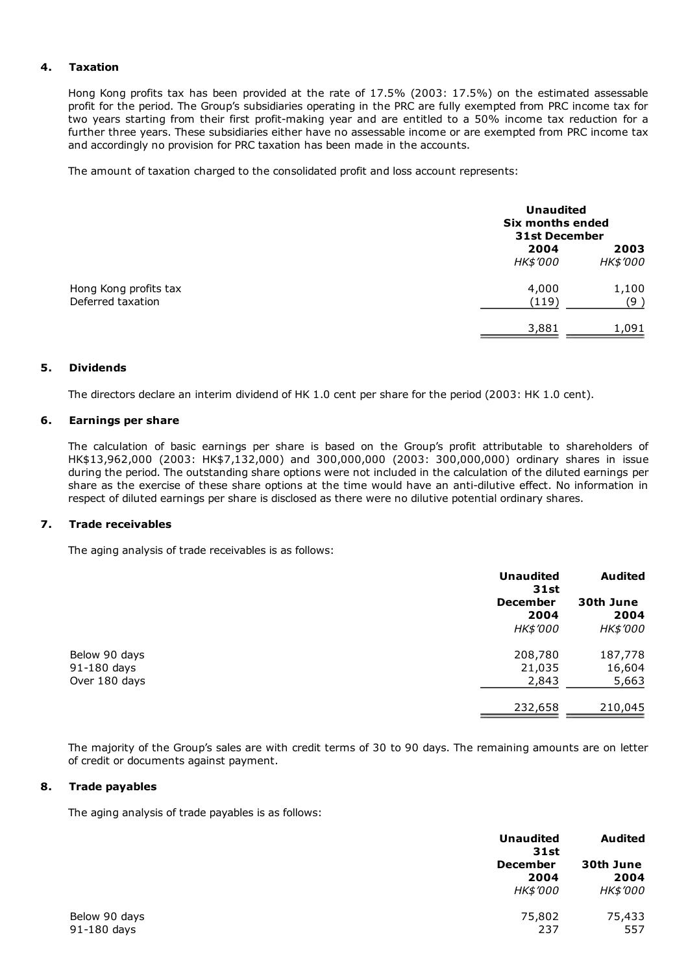#### 4. Taxation

Hong Kong profits tax has been provided at the rate of 17.5% (2003: 17.5%) on the estimated assessable profit for the period. The Group's subsidiaries operating in the PRC are fully exempted from PRC income tax for two years starting from their first profit-making year and are entitled to a 50% income tax reduction for a further three years. These subsidiaries either have no assessable income or are exempted from PRC income tax and accordingly no provision for PRC taxation has been made in the accounts.

The amount of taxation charged to the consolidated profit and loss account represents:

|                                            |                         | <b>Unaudited</b><br>Six months ended<br><b>31st December</b> |  |
|--------------------------------------------|-------------------------|--------------------------------------------------------------|--|
|                                            | 2004<br><i>HK\$'000</i> | 2003<br>HK\$'000                                             |  |
| Hong Kong profits tax<br>Deferred taxation | 4,000<br>(119)          | 1,100<br>(9)                                                 |  |
|                                            | 3,881                   | 1,091                                                        |  |

#### 5. Dividends

The directors declare an interim dividend of HK 1.0 cent per share for the period (2003: HK 1.0 cent).

#### 6. Earnings per share

The calculation of basic earnings per share is based on the Group's profit attributable to shareholders of HK\$13,962,000 (2003: HK\$7,132,000) and 300,000,000 (2003: 300,000,000) ordinary shares in issue during the period. The outstanding share options were not included in the calculation of the diluted earnings per share as the exercise of these share options at the time would have an anti-dilutive effect. No information in respect of diluted earnings per share is disclosed as there were no dilutive potential ordinary shares.

#### 7. Trade receivables

The aging analysis of trade receivables is as follows:

|               | <b>Unaudited</b><br><b>31st</b> | <b>Audited</b>    |
|---------------|---------------------------------|-------------------|
|               | <b>December</b><br>2004         | 30th June<br>2004 |
|               | <b>HK\$'000</b>                 | <b>HK\$'000</b>   |
| Below 90 days | 208,780                         | 187,778           |
| 91-180 days   | 21,035                          | 16,604            |
| Over 180 days | 2,843                           | 5,663             |
|               | 232,658                         | 210,045           |

The majority of the Group's sales are with credit terms of 30 to 90 days. The remaining amounts are on letter of credit or documents against payment.

#### 8. Trade payables

The aging analysis of trade payables is as follows:

|               | <b>Unaudited</b><br><b>31st</b> | <b>Audited</b>  |  |
|---------------|---------------------------------|-----------------|--|
|               | <b>December</b>                 | 30th June       |  |
|               | 2004                            | 2004            |  |
|               | <i>HK\$'000</i>                 | <i>HK\$'000</i> |  |
| Below 90 days | 75,802                          | 75,433          |  |
| 91-180 days   | 237                             | 557             |  |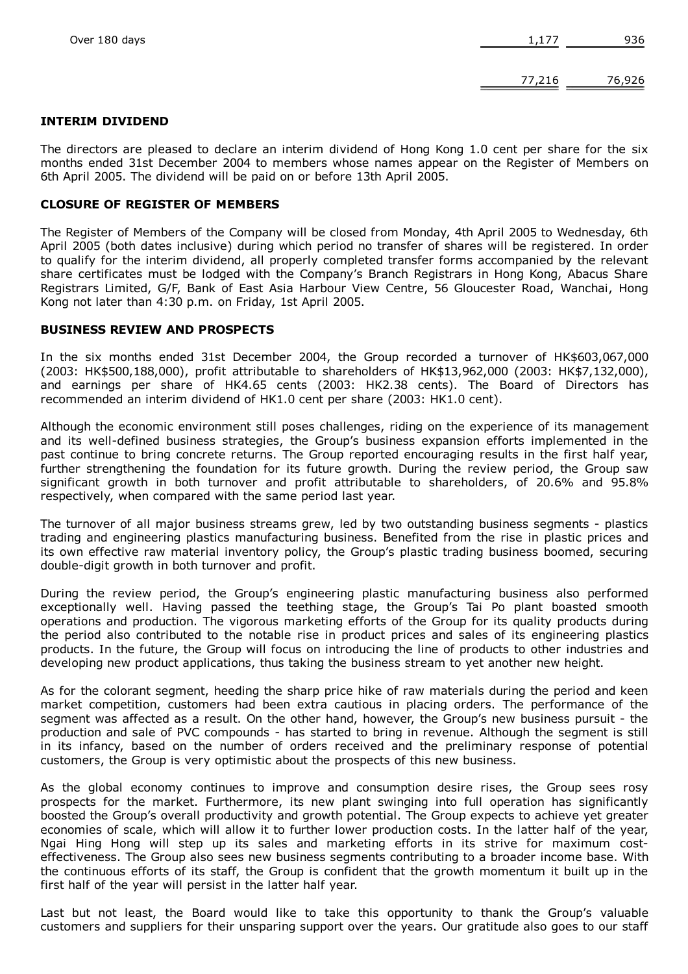#### INTERIM DIVIDEND

The directors are pleased to declare an interim dividend of Hong Kong 1.0 cent per share for the six months ended 31st December 2004 to members whose names appear on the Register of Members on 6th April 2005. The dividend will be paid on or before 13th April 2005.

#### CLOSURE OF REGISTER OF MEMBERS

The Register of Members of the Company will be closed from Monday, 4th April 2005 to Wednesday, 6th April 2005 (both dates inclusive) during which period no transfer of shares will be registered. In order to qualify for the interim dividend, all properly completed transfer forms accompanied by the relevant share certificates must be lodged with the Company's Branch Registrars in Hong Kong, Abacus Share Registrars Limited, G/F, Bank of East Asia Harbour View Centre, 56 Gloucester Road, Wanchai, Hong Kong not later than 4:30 p.m. on Friday, 1st April 2005.

#### BUSINESS REVIEW AND PROSPECTS

In the six months ended 31st December 2004, the Group recorded a turnover of HK\$603,067,000 (2003: HK\$500,188,000), profit attributable to shareholders of HK\$13,962,000 (2003: HK\$7,132,000), and earnings per share of HK4.65 cents (2003: HK2.38 cents). The Board of Directors has recommended an interim dividend of HK1.0 cent per share (2003: HK1.0 cent).

Although the economic environment still poses challenges, riding on the experience of its management and its well-defined business strategies, the Group's business expansion efforts implemented in the past continue to bring concrete returns. The Group reported encouraging results in the first half year, further strengthening the foundation for its future growth. During the review period, the Group saw significant growth in both turnover and profit attributable to shareholders, of 20.6% and 95.8% respectively, when compared with the same period last year.

The turnover of all major business streams grew, led by two outstanding business segments - plastics trading and engineering plastics manufacturing business. Benefited from the rise in plastic prices and its own effective raw material inventory policy, the Group's plastic trading business boomed, securing double-digit growth in both turnover and profit.

During the review period, the Group's engineering plastic manufacturing business also performed exceptionally well. Having passed the teething stage, the Group's Tai Po plant boasted smooth operations and production. The vigorous marketing efforts of the Group for its quality products during the period also contributed to the notable rise in product prices and sales of its engineering plastics products. In the future, the Group will focus on introducing the line of products to other industries and developing new product applications, thus taking the business stream to yet another new height.

As for the colorant segment, heeding the sharp price hike of raw materials during the period and keen market competition, customers had been extra cautious in placing orders. The performance of the segment was affected as a result. On the other hand, however, the Group's new business pursuit - the production and sale of PVC compounds has started to bring in revenue. Although the segment is still in its infancy, based on the number of orders received and the preliminary response of potential customers, the Group is very optimistic about the prospects of this new business.

As the global economy continues to improve and consumption desire rises, the Group sees rosy prospects for the market. Furthermore, its new plant swinging into full operation has significantly boosted the Group's overall productivity and growth potential. The Group expects to achieve yet greater economies of scale, which will allow it to further lower production costs. In the latter half of the year, Ngai Hing Hong will step up its sales and marketing efforts in its strive for maximum costeffectiveness. The Group also sees new business segments contributing to a broader income base. With the continuous efforts of its staff, the Group is confident that the growth momentum it built up in the first half of the year will persist in the latter half year.

Last but not least, the Board would like to take this opportunity to thank the Group's valuable customers and suppliers for their unsparing support over the years. Our gratitude also goes to our staff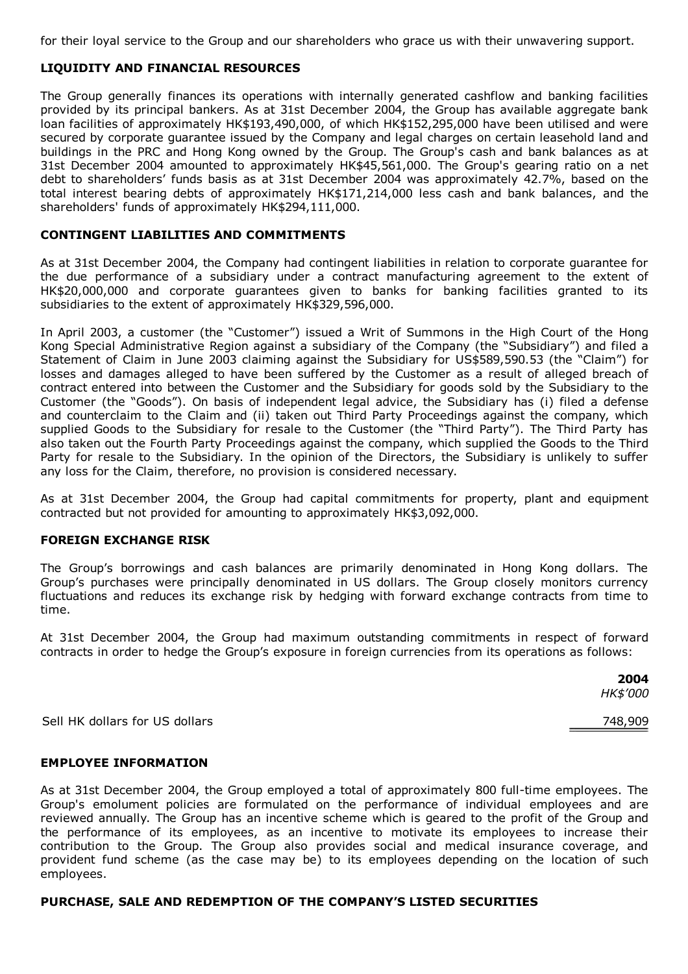for their loyal service to the Group and our shareholders who grace us with their unwavering support.

## LIQUIDITY AND FINANCIAL RESOURCES

The Group generally finances its operations with internally generated cashflow and banking facilities provided by its principal bankers. As at 31st December 2004, the Group has available aggregate bank loan facilities of approximately HK\$193,490,000, of which HK\$152,295,000 have been utilised and were secured by corporate guarantee issued by the Company and legal charges on certain leasehold land and buildings in the PRC and Hong Kong owned by the Group. The Group's cash and bank balances as at 31st December 2004 amounted to approximately HK\$45,561,000. The Group's gearing ratio on a net debt to shareholders' funds basis as at 31st December 2004 was approximately 42.7%, based on the total interest bearing debts of approximately HK\$171,214,000 less cash and bank balances, and the shareholders' funds of approximately HK\$294,111,000.

## CONTINGENT LIABILITIES AND COMMITMENTS

As at 31st December 2004, the Company had contingent liabilities in relation to corporate guarantee for the due performance of a subsidiary under a contract manufacturing agreement to the extent of HK\$20,000,000 and corporate guarantees given to banks for banking facilities granted to its subsidiaries to the extent of approximately HK\$329,596,000.

In April 2003, a customer (the "Customer") issued a Writ of Summons in the High Court of the Hong Kong Special Administrative Region against a subsidiary of the Company (the "Subsidiary") and filed a Statement of Claim in June 2003 claiming against the Subsidiary for US\$589,590.53 (the "Claim") for losses and damages alleged to have been suffered by the Customer as a result of alleged breach of contract entered into between the Customer and the Subsidiary for goods sold by the Subsidiary to the Customer (the "Goods"). On basis of independent legal advice, the Subsidiary has (i) filed a defense and counterclaim to the Claim and (ii) taken out Third Party Proceedings against the company, which supplied Goods to the Subsidiary for resale to the Customer (the "Third Party"). The Third Party has also taken out the Fourth Party Proceedings against the company, which supplied the Goods to the Third Party for resale to the Subsidiary. In the opinion of the Directors, the Subsidiary is unlikely to suffer any loss for the Claim, therefore, no provision is considered necessary.

As at 31st December 2004, the Group had capital commitments for property, plant and equipment contracted but not provided for amounting to approximately HK\$3,092,000.

## FOREIGN EXCHANGE RISK

The Group's borrowings and cash balances are primarily denominated in Hong Kong dollars. The Group's purchases were principally denominated in US dollars. The Group closely monitors currency fluctuations and reduces its exchange risk by hedging with forward exchange contracts from time to time.

At 31st December 2004, the Group had maximum outstanding commitments in respect of forward contracts in order to hedge the Group's exposure in foreign currencies from its operations as follows:

> 2004 HK\$'000

Sell HK dollars for US dollars 748,909

## EMPLOYEE INFORMATION

As at 31st December 2004, the Group employed a total of approximately 800 full-time employees. The Group's emolument policies are formulated on the performance of individual employees and are reviewed annually. The Group has an incentive scheme which is geared to the profit of the Group and the performance of its employees, as an incentive to motivate its employees to increase their contribution to the Group. The Group also provides social and medical insurance coverage, and provident fund scheme (as the case may be) to its employees depending on the location of such employees.

## PURCHASE, SALE AND REDEMPTION OF THE COMPANY'S LISTED SECURITIES